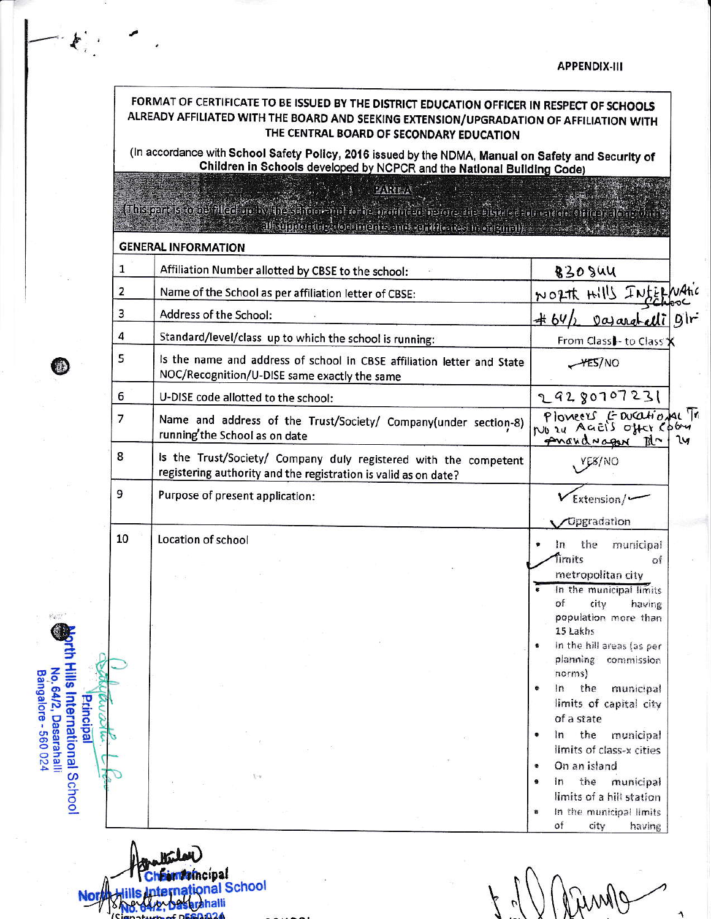|    | (In accordance with School Safety Policy, 2016 issued by the NDMA, Manual on Safety and Security of<br>Children in Schools developed by NCPCR and the National Building Code)                                                  |                                                             |
|----|--------------------------------------------------------------------------------------------------------------------------------------------------------------------------------------------------------------------------------|-------------------------------------------------------------|
|    | <b>FANETA</b><br>(Inissophesetoko: Aleoki ja kvantsiaikien minko kokses prodiktavaistoine, die klarina kolmendam ehitage deungan                                                                                               |                                                             |
|    | alle delegatori in contenue del segundo del piede del contenue del contenue del contenue del contenue del contenue del contenue del contenue del contenue del contenue del contenue del contenue del contenue del contenue del |                                                             |
|    | <b>GENERAL INFORMATION</b>                                                                                                                                                                                                     |                                                             |
| 1  | Affiliation Number allotted by CBSE to the school:                                                                                                                                                                             | <b>830 SUU</b>                                              |
| 2  | Name of the School as per affiliation letter of CBSE:                                                                                                                                                                          | NORTH HILL INSER                                            |
| 3  | Address of the School:                                                                                                                                                                                                         | gir<br>#64<br>Dararatell                                    |
| 4  | Standard/level/class up to which the school is running:                                                                                                                                                                        | From Class - to Class X                                     |
| 5  | Is the name and address of school in CBSE affiliation letter and State<br>NOC/Recognition/U-DISE same exactly the same                                                                                                         | YES/NO                                                      |
| 6  | U-DISE code allotted to the school:                                                                                                                                                                                            | 29280707231                                                 |
| 7  | Name and address of the Trust/Society/ Company(under section-8)<br>running'the School as on date                                                                                                                               | Plomeers & Ducational Tr<br>pnaudragen Ita<br><b>I</b> U    |
| 8  | Is the Trust/Society/ Company duly registered with the competent<br>registering authority and the registration is valid as on date?                                                                                            | YE8/NO                                                      |
| 9  | Purpose of present application:                                                                                                                                                                                                | Extension/                                                  |
| 10 | Location of school                                                                                                                                                                                                             | Opgradation                                                 |
|    |                                                                                                                                                                                                                                | the<br>municipal<br>ln<br><i><u><b>Timits</b></u></i><br>of |
|    |                                                                                                                                                                                                                                | metropolitan city                                           |
|    |                                                                                                                                                                                                                                | In the municipal limits<br>of<br>city<br>having             |
|    |                                                                                                                                                                                                                                | population more than                                        |
|    |                                                                                                                                                                                                                                | 15 Lakhs<br>In the hill areas (as per                       |
|    |                                                                                                                                                                                                                                | planning commission                                         |
|    |                                                                                                                                                                                                                                | norms)<br>the<br>In<br>municipal                            |
|    |                                                                                                                                                                                                                                | limits of capital city                                      |
|    |                                                                                                                                                                                                                                | of a state<br>the<br>ln<br>municipal                        |
|    |                                                                                                                                                                                                                                | limits of class-x cities                                    |
|    |                                                                                                                                                                                                                                | On an island                                                |

Hills International<br>Hills International School Not

 $\mathcal{E}_{\epsilon}$ 

0

 $\mathcal{H}_{\mathbf{X} \sim \mathbb{R}}^{1 \times 2^{n-1}}$  $\bar{\Sigma}$ 

O

nth Hills International School<br>No.64/2, Dasarahalli<br>Bangalore - 560 024

Aring  $\overline{\mathcal{K}}$  $\gamma$ 

۹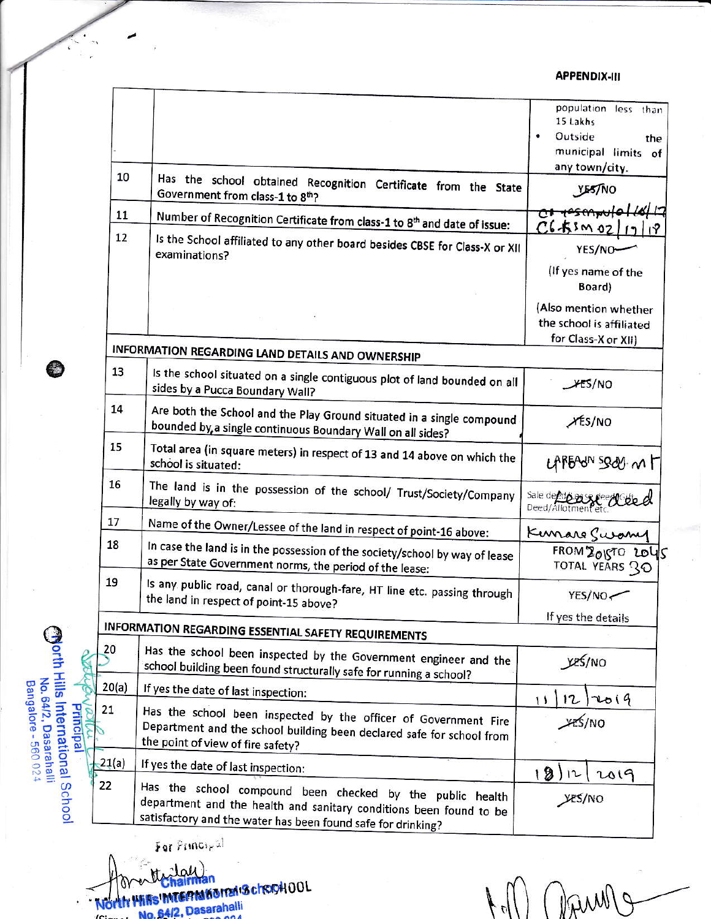## **APPENDIX-III**

|       |                                                                                                                                                                                                 | population less than<br>15 Lakhs<br>Outside<br>the |
|-------|-------------------------------------------------------------------------------------------------------------------------------------------------------------------------------------------------|----------------------------------------------------|
|       |                                                                                                                                                                                                 | municipal limits of                                |
| 10    | Has the school obtained Recognition Certificate from the State<br>Government from class-1 to 8th?                                                                                               | any town/city.<br>YES/NO                           |
| 11    |                                                                                                                                                                                                 | <del>ni yesmwle</del>                              |
|       | Number of Recognition Certificate from class-1 to 8 <sup>th</sup> and date of issue:                                                                                                            | $C6 + 5$ m ozli                                    |
| 12    | Is the School affiliated to any other board besides CBSE for Class-X or XII<br>examinations?                                                                                                    | YES/NO-                                            |
|       |                                                                                                                                                                                                 | (If yes name of the<br>Board)                      |
|       |                                                                                                                                                                                                 | (Also mention whether<br>the school is affiliated  |
|       | INFORMATION REGARDING LAND DETAILS AND OWNERSHIP                                                                                                                                                | for Class-X or XII)                                |
| 13    | Is the school situated on a single contiguous plot of land bounded on all<br>sides by a Pucca Boundary Wall?                                                                                    | 45/NO                                              |
| 14    | Are both the School and the Play Ground situated in a single compound.<br>bounded by, a single continuous Boundary Wall on all sides?                                                           | XES/NO                                             |
| 15    | Total area (in square meters) in respect of 13 and 14 above on which the<br>school is situated:                                                                                                 | LAPEAUN SOLU. MT                                   |
| 16    | The land is in the possession of the school/ Trust/Society/Company<br>legally by way of:                                                                                                        | Sale de do pass de educate d                       |
| 17    | Name of the Owner/Lessee of the land in respect of point-16 above:                                                                                                                              | Kunare Swamy                                       |
| 18    | In case the land is in the possession of the society/school by way of lease<br>as per State Government norms, the period of the lease:                                                          | FROM 2015TO 2045<br>TOTAL YEARS 30                 |
| 19    | Is any public road, canal or thorough-fare, HT line etc. passing through<br>the land in respect of point-15 above?                                                                              | YES/NO-                                            |
|       |                                                                                                                                                                                                 | If yes the details                                 |
| 20    | <b>INFORMATION REGARDING ESSENTIAL SAFETY REQUIREMENTS</b>                                                                                                                                      |                                                    |
|       | Has the school been inspected by the Government engineer and the<br>school building been found structurally safe for running a school?                                                          | yes/NO                                             |
| 20(a) | If yes the date of last inspection:                                                                                                                                                             | $12)$ 2014<br>11                                   |
| 21    | Has the school been inspected by the officer of Government Fire<br>Department and the school building been declared safe for school from<br>the point of view of fire safety?                   | <b>YES/NO</b>                                      |
| 21(a) | If yes the date of last inspection:                                                                                                                                                             | 12)に<br>2019                                       |
| 22    | Has the school compound been checked by the public health<br>department and the health and sanitary conditions been found to be<br>satisfactory and the water has been found safe for drinking? | yes/no                                             |

For Principal

G

Morth Hills International School<br>No. 64/2, Dasarahalli<br>Bangalore - 560 024

S ₹

Principal

h North Wife International School OOL

(Damp)  $\frac{1}{2}$